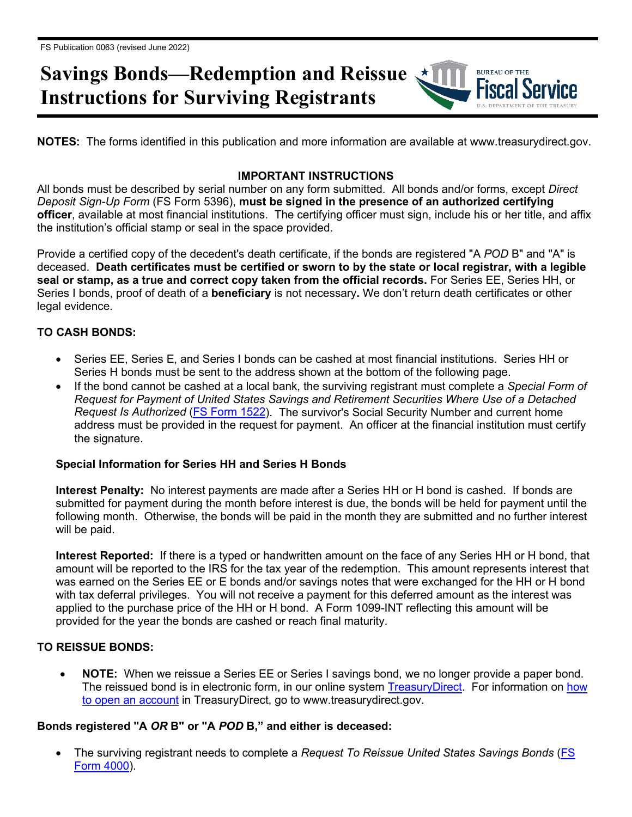# **Savings Bonds—Redemption and Reissue Instructions for Surviving Registrants**

**NOTES:** The forms identified in this publication and more information are available at www.treasurydirect.gov.

**BUREAU OF THE** 

## **IMPORTANT INSTRUCTIONS**

All bonds must be described by serial number on any form submitted. All bonds and/or forms, except *Direct Deposit Sign-Up Form* (FS Form 5396), **must be signed in the presence of an authorized certifying officer**, available at most financial institutions. The certifying officer must sign, include his or her title, and affix the institution's official stamp or seal in the space provided.

Provide a certified copy of the decedent's death certificate, if the bonds are registered "A *POD* B" and "A" is deceased. **Death certificates must be certified or sworn to by the state or local registrar, with a legible seal or stamp, as a true and correct copy taken from the official records.** For Series EE, Series HH, or Series I bonds, proof of death of a **beneficiary** is not necessary**.** We don't return death certificates or other legal evidence.

## **TO CASH BONDS:**

- Series EE, Series E, and Series I bonds can be cashed at most financial institutions. Series HH or Series H bonds must be sent to the address shown at the bottom of the following page.
- If the bond cannot be cashed at a local bank, the surviving registrant must complete a *Special Form of Request for Payment of United States Savings and Retirement Securities Where Use of a Detached Request Is Authorized* [\(FS Form 1522\)](http://www.treasurydirect.gov/forms/sav1522.pdf). The survivor's Social Security Number and current home address must be provided in the request for payment. An officer at the financial institution must certify the signature.

#### **Special Information for Series HH and Series H Bonds**

**Interest Penalty:** No interest payments are made after a Series HH or H bond is cashed. If bonds are submitted for payment during the month before interest is due, the bonds will be held for payment until the following month. Otherwise, the bonds will be paid in the month they are submitted and no further interest will be paid.

**Interest Reported:** If there is a typed or handwritten amount on the face of any Series HH or H bond, that amount will be reported to the IRS for the tax year of the redemption. This amount represents interest that was earned on the Series EE or E bonds and/or savings notes that were exchanged for the HH or H bond with tax deferral privileges. You will not receive a payment for this deferred amount as the interest was applied to the purchase price of the HH or H bond. A Form 1099-INT reflecting this amount will be provided for the year the bonds are cashed or reach final maturity.

## **TO REISSUE BONDS:**

• **NOTE:** When we reissue a Series EE or Series I savings bond, we no longer provide a paper bond. The reissued bond is in electronic form, in our online system [TreasuryDirect.](http://www.treasurydirect.gov/indiv/myaccount/myaccount_treasurydirect.htm) For information on how [to open an account](http://www.treasurydirect.gov/indiv/myaccount/myaccount_treasurydirect.htm) in TreasuryDirect, go to www.treasurydirect.gov.

## **Bonds registered "A** *OR* **B" or "A** *POD* **B," and either is deceased:**

• The surviving registrant needs to complete a *Request To Reissue United States Savings Bonds* [\(FS](http://www.treasurydirect.gov/forms/sav4000.pdf)  [Form 4000\)](http://www.treasurydirect.gov/forms/sav4000.pdf).